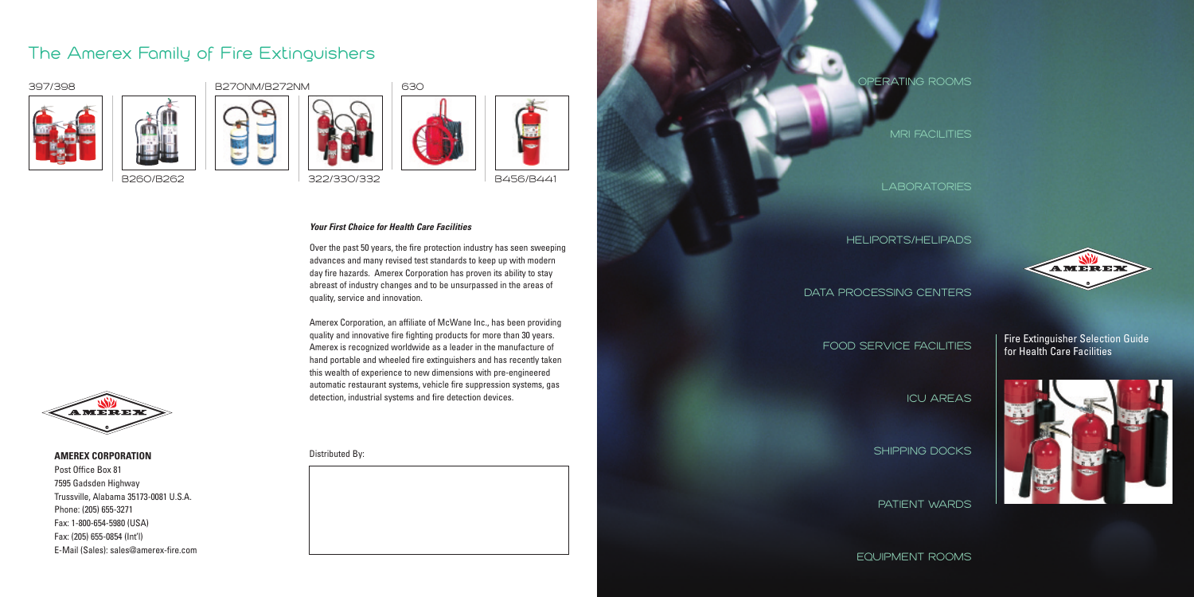Fire Extinguisher Selection Guide for Health Care Facilities



**AMEREX CORPORATION**



Post Office Box 81 7595 Gadsden Highway Trussville, Alabama 35173-0081 U.S.A. Phone: (205) 655-3271 Fax: 1-800-654-5980 (USA) Fax: (205) 655-0854 (Int'l) E-Mail (Sales): sales@amerex-fire.com



**B260/B262**













**B456/B441**

### *Your First Choice for Health Care Facilities*

Over the past 50 years, the fire protection industry has seen sweeping advances and many revised test standards to keep up with modern day fire hazards. Amerex Corporation has proven its ability to stay abreast of industry changes and to be unsurpassed in the areas of quality, service and innovation.

Amerex Corporation, an affiliate of McWane Inc., has been providing quality and innovative fire fighting products for more than 30 years. Amerex is recognized worldwide as a leader in the manufacture of hand portable and wheeled fire extinguishers and has recently taken this wealth of experience to new dimensions with pre-engineered automatic restaurant systems, vehicle fire suppression systems, gas detection, industrial systems and fire detection devices.

# **The Amerex Family of Fire Extinguishers**





**EQUIPMENT ROOMS**



Distributed By: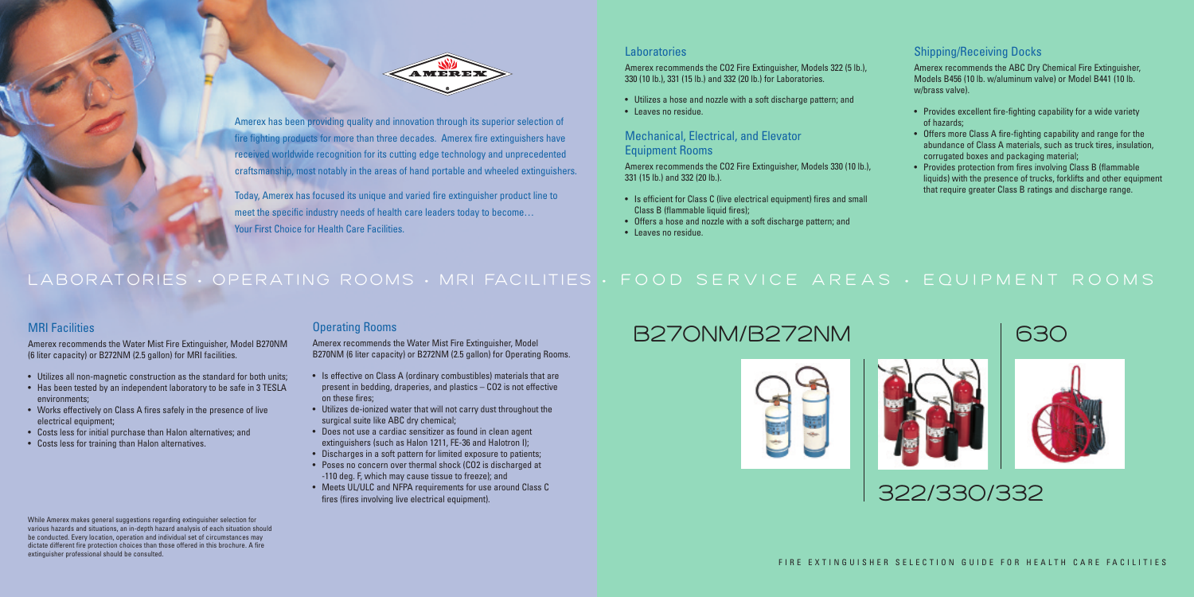## Operating Rooms

Amerex recommends the Water Mist Fire Extinguisher, Model B270NM (6 liter capacity) or B272NM (2.5 gallon) for Operating Rooms.

- Is effective on Class A (ordinary combustibles) materials that are present in bedding, draperies, and plastics – CO2 is not effective on these fires;
- Utilizes de-ionized water that will not carry dust throughout the surgical suite like ABC dry chemical;
- Does not use a cardiac sensitizer as found in clean agent extinguishers (such as Halon 1211, FE-36 and Halotron I);
- Discharges in a soft pattern for limited exposure to patients;
- Poses no concern over thermal shock (CO2 is discharged at -110 deg. F, which may cause tissue to freeze); and
- Meets UL/ULC and NFPA requirements for use around Class C fires (fires involving live electrical equipment).

# MRI Facilities

Amerex recommends the Water Mist Fire Extinguisher, Model B270NM (6 liter capacity) or B272NM (2.5 gallon) for MRI facilities.

- Utilizes all non-magnetic construction as the standard for both units;
- Has been tested by an independent laboratory to be safe in 3 TESLA environments;
- Works effectively on Class A fires safely in the presence of live electrical equipment;
- Costs less for initial purchase than Halon alternatives; and
- Costs less for training than Halon alternatives.

Amerex recommends the CO2 Fire Extinguisher, Models 322 (5 lb.), 330 (10 lb.), 331 (15 lb.) and 332 (20 lb.) for Laboratories.

- Utilizes a hose and nozzle with a soft discharge pattern; and
- Leaves no residue.

### Mechanical, Electrical, and Elevator Equipment Rooms

Amerex recommends the CO2 Fire Extinguisher, Models 330 (10 lb.), 331 (15 lb.) and 332 (20 lb.).

- Is efficient for Class C (live electrical equipment) fires and small Class B (flammable liquid fires);
- Offers a hose and nozzle with a soft discharge pattern; and
- Leaves no residue.

# LA BORATORIES • OPERATING ROOMS • MRI FACILITIES • FOOD SERVICE AREAS • EQUIPMENT ROOMS

## Shipping/Receiving Docks

Amerex recommends the ABC Dry Chemical Fire Extinguisher, Models B456 (10 lb. w/aluminum valve) or Model B441 (10 lb. w/brass valve).

- Provides excellent fire-fighting capability for a wide variety of hazards;
- Offers more Class A fire-fighting capability and range for the abundance of Class A materials, such as truck tires, insulation, corrugated boxes and packaging material;
- Provides protection from fires involving Class B (flammable liquids) with the presence of trucks, forklifts and other equipment that require greater Class B ratings and discharge range.



# **B270NM/B272NM 630**





# **322/330/332**



Amerex has been providing quality and innovation through its superior selection of fire fighting products for more than three decades. Amerex fire extinguishers have received worldwide recognition for its cutting edge technology and unprecedented craftsmanship, most notably in the areas of hand portable and wheeled extinguishers.

Today, Amerex has focused its unique and varied fire extinguisher product line to meet the specific industry needs of health care leaders today to become… Your First Choice for Health Care Facilities.

### **Laboratories**

#### While Amerex makes general suggestions regarding extinguisher selection for various hazards and situations, an in-depth hazard analysis of each situation should be conducted. Every location, operation and individual set of circumstances may dictate different fire protection choices than those offered in this brochure. A fire extinguisher professional should be consulted.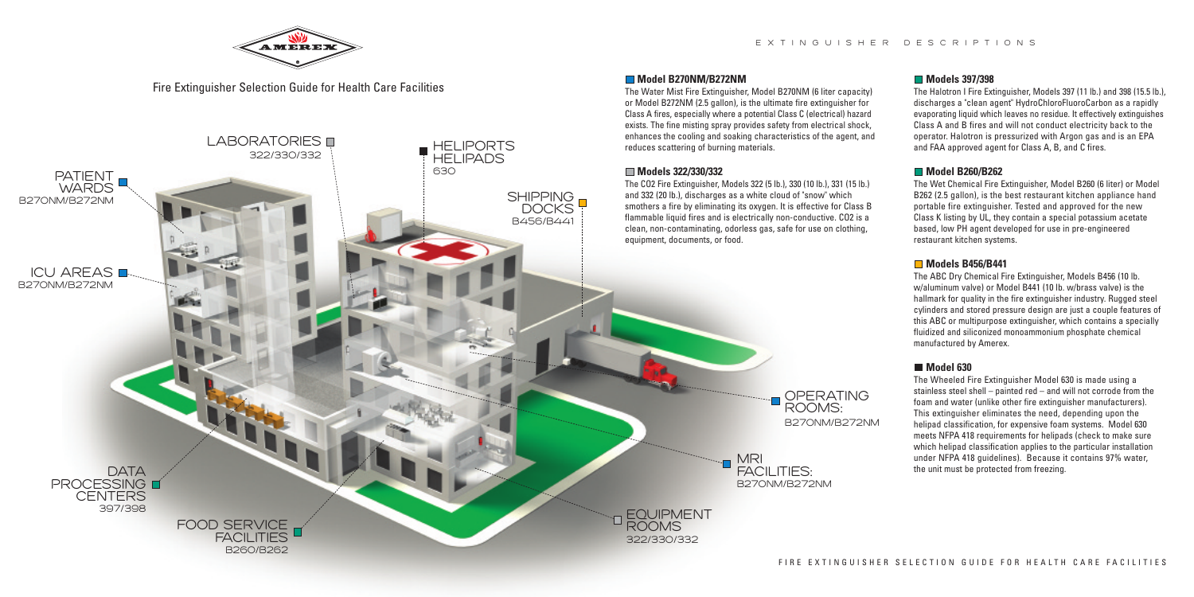**Model B270NM/B272NM**

The Water Mist Fire Extinguisher, Model B270NM (6 liter capacity) or Model B272NM (2.5 gallon), is the ultimate fire extinguisher for Class A fires, especially where a potential Class C (electrical) hazard



#### **Models 397/398**

The Halotron I Fire Extinguisher, Models 397 (11 lb.) and 398 (15.5 lb.), discharges a "clean agent" HydroChloroFluoroCarbon as a rapidly evaporating liquid which leaves no residue. It effectively extinguishes Class A and B fires and will not conduct electricity back to the operator. Halotron is pressurized with Argon gas and is an EPA and FAA approved agent for Class A, B, and C fires.

### **Model B260/B262**

The Wet Chemical Fire Extinguisher, Model B260 (6 liter) or Model B262 (2.5 gallon), is the best restaurant kitchen appliance hand portable fire extinguisher. Tested and approved for the new Class K listing by UL, they contain a special potassium acetate based, low PH agent developed for use in pre-engineered restaurant kitchen systems.

#### **Models B456/B441**



The ABC Dry Chemical Fire Extinguisher, Models B456 (10 lb. w/aluminum valve) or Model B441 (10 lb. w/brass valve) is the hallmark for quality in the fire extinguisher industry. Rugged steel cylinders and stored pressure design are just a couple features of this ABC or multipurpose extinguisher, which contains a specially fluidized and siliconized monoammonium phosphate chemical manufactured by Amerex.

#### **Model 630**

The Wheeled Fire Extinguisher Model 630 is made using a stainless steel shell – painted red – and will not corrode from the foam and water (unlike other fire extinguisher manufacturers). This extinguisher eliminates the need, depending upon the helipad classification, for expensive foam systems. Model 630 meets NFPA 418 requirements for helipads (check to make sure which helipad classification applies to the particular installation under NFPA 418 guidelines). Because it contains 97% water, the unit must be protected from freezing.

Fire Extinguisher Selection Guide for Health Care Facilities